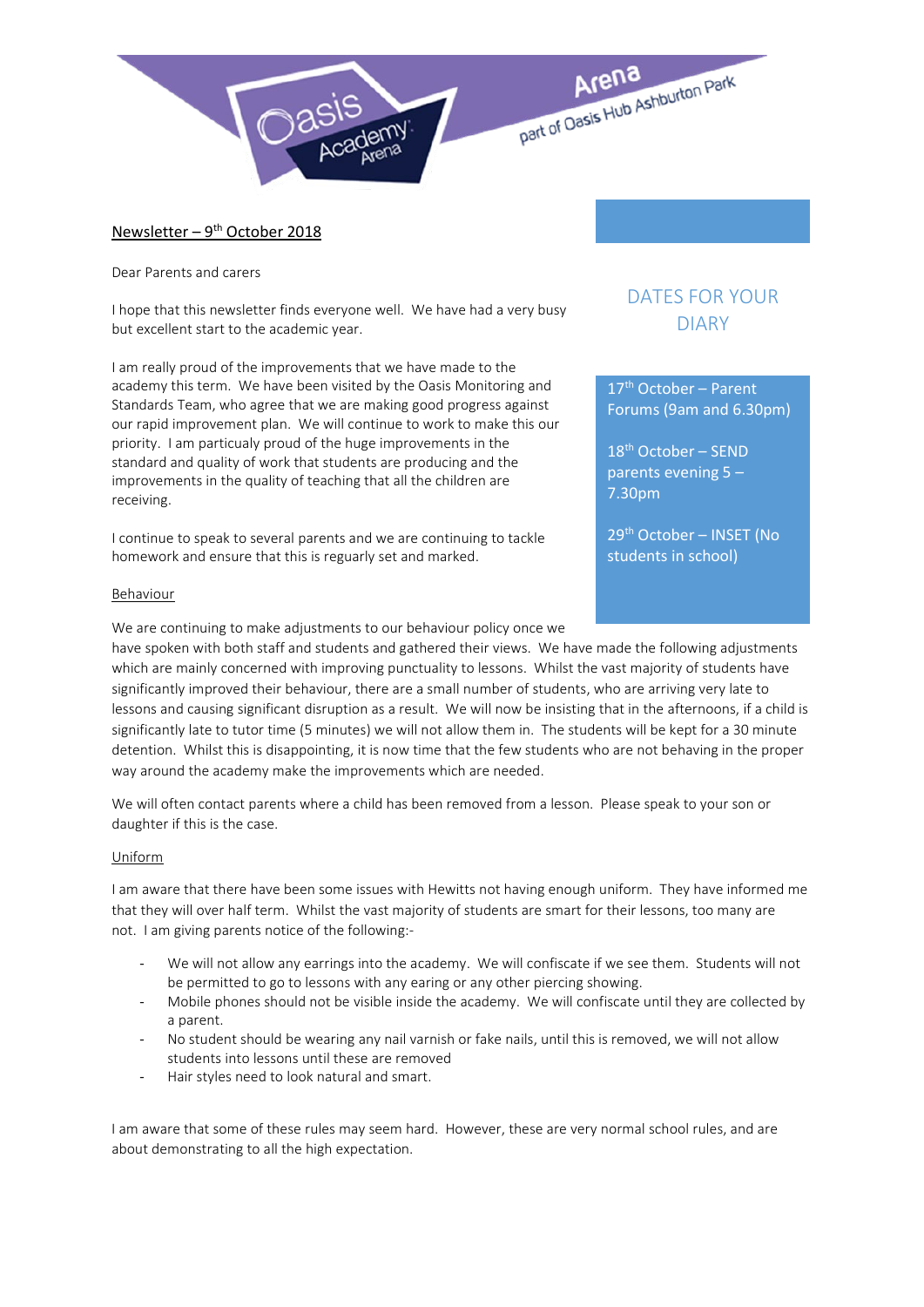

## Newsletter –  $9^{th}$  October 2018

Dear Parents and carers

I hope that this newsletter finds everyone well. We have had a very busy but excellent start to the academic year.

I am really proud of the improvements that we have made to the academy this term. We have been visited by the Oasis Monitoring and Standards Team, who agree that we are making good progress against our rapid improvement plan. We will continue to work to make this our priority. I am particualy proud of the huge improvements in the standard and quality of work that students are producing and the improvements in the quality of teaching that all the children are receiving.

I continue to speak to several parents and we are continuing to tackle homework and ensure that this is reguarly set and marked.

## Behaviour

We are continuing to make adjustments to our behaviour policy once we

DATES FOR YOUR DIARY

17th October – Parent Forums (9am and 6.30pm)

18th October – SEND parents evening 5 – 7.30pm

29th October – INSET (No students in school)

have spoken with both staff and students and gathered their views. We have made the following adjustments which are mainly concerned with improving punctuality to lessons. Whilst the vast majority of students have significantly improved their behaviour, there are a small number of students, who are arriving very late to lessons and causing significant disruption as a result. We will now be insisting that in the afternoons, if a child is significantly late to tutor time (5 minutes) we will not allow them in. The students will be kept for a 30 minute detention. Whilst this is disappointing, it is now time that the few students who are not behaving in the proper way around the academy make the improvements which are needed.

We will often contact parents where a child has been removed from a lesson. Please speak to your son or daughter if this is the case.

## Uniform

I am aware that there have been some issues with Hewitts not having enough uniform. They have informed me that they will over half term. Whilst the vast majority of students are smart for their lessons, too many are not. I am giving parents notice of the following:-

- We will not allow any earrings into the academy. We will confiscate if we see them. Students will not be permitted to go to lessons with any earing or any other piercing showing.
- Mobile phones should not be visible inside the academy. We will confiscate until they are collected by a parent.
- No student should be wearing any nail varnish or fake nails, until this is removed, we will not allow students into lessons until these are removed
- Hair styles need to look natural and smart.

I am aware that some of these rules may seem hard. However, these are very normal school rules, and are about demonstrating to all the high expectation.